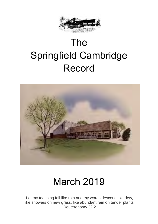

# The Springfield Cambridge Record



# March 2019

Let my teaching fall like rain and my words descend like dew, like showers on new grass, like abundant rain on tender plants. Deuteronomy 32:2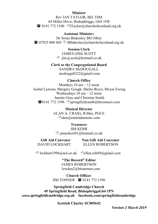#### **Minister**

Rev IAN TAYLOR, BD, ThM 64 Miller Drive, Bishopbriggs, G64 1FB  $\bullet$  0141 772 1540  $\bullet$  Taylor@churchofscotland.org.uk

#### **Assistant Minister:**

Dr Sonia Blakesley BD (Min)  $\bullet$  07925 068 065  $\circ$  SBlakesley@churchofscotland.org.uk

#### **Session Clerk**

JAMES (JIM) SCOTT  $\Theta$  jim.g.scott@hotmail.co.uk

**Clerk to the Congregational Board** 

SANDRA McDOUGALL mcdougall322@gmail.com

#### **Church Office**

Mondays 10 am – 12 noon Isobel Lawson, Margery Gough, Sheila Bryce, Moyra Ewing Wednesdays 10 am – 12 noon Janette Gray and Christine Smith  $\bullet$  0141 772 1596  $\circ$ springfieldcamb@btconnect.com

> **Musical Director**  ALAN A. CRAIG, B.Mus, PGCE  $\Diamond$ alan $\Diamond$ earnsidemusic.com

#### **Treasurer**

JIM KERR  $\Diamond$  jameskerr01@hotmail.co.uk

**Gift Aid Convener**  DAVID LOCKHART  **Non Gift Aid Convener** ELLEN ROBERTSON

 $\Theta$  lockhart1996@aol.co.uk  $\Theta$ ellen.rob49@gmail.com

**"The Record" Editor** JAMES ROBERTSON lowdon2@btinternet.com

**Church Officer** JIM TONNER **<b>a** 0141 772 1596

**Springfield Cambridge Church 49 Springfield Road, BishopbriggsG64 1PN** *www.springfieldcambridge.org.uk* **facebook.com/springfieldcambridge**

**Scottish Charity SC005642**

*Version 2 March 2019*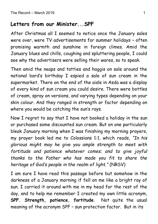#### **Letters from our Minister...SPF**

After Christmas all I seemed to notice once the January sales were over, were TV advertisements for summer holidays – often promising warmth and sunshine in foreign climes. Amid the January blues and chills, coughing and spluttering people, I could see why the advertisers were selling their wares, so to speak.

Then amid the neaps and tatties and haggis on sale around the national bard's birthday I espied a sale of sun cream in the supermarket. There on the end of the aisle in Asda was a display of every kind of sun cream you could desire. There were bottles of cream, spray on versions, and varying types depending on your skin colour. And they ranged in strength or factor depending on where you would be catching the sun's rays.

Now I regret to say that I have not booked a holiday in the sun or purchased some discounted sun cream. But on one particularly bleak January morning when I was finishing my morning prayers, my prayer book led me to Colossians 1:1, which reads, *"In his glorious might may he give you ample strength to meet with fortitude and patience whatever comes; and to give joyful thanks to the Father who has made you fit to share the heritage of God's people in the realm of light."* (NRSV)

I am sure I have read this passage before but somehow in the darkness of a January morning if fell on me like a bright ray of sun. I carried it around with me in my head for the rest of the day, and to help me remember I created my own little acronym, **SPF. Strength, patience, fortitude**. Not quite the usual meaning of the acronym SPF – sun protection factor. But in its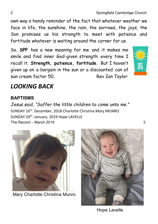own way a handy reminder of the fact that whatever weather we face in life, the sunshine, the rain, the sorrows, the joys, the Son promises us his strength to meet with patience and fortitude whatever is waiting around the corner for us.

So, **SPF** has a new meaning for me and it makes me smile and find inner God-given strength every time I recall it. **Strength, patience, fortitude**. But I haven't given up on a bargain in the sun or a discounted can of sun cream factor 50. Rev Ian Taylor

### *LOOKING BACK*

#### **BAPTISMS**

*Jesus said, "Suffer the little children to come unto me."* SUNDAY 16th. December, 2018 Charlotte Christina Mary MUNRO SUNDAY 20th. January, 2019 Hope LAVELLE The Record – March 2019 3



Mary Charlotte Christina Munro





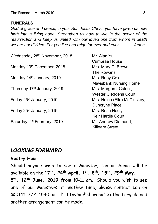#### **FUNERALS**

*God of grace and peace, in your Son Jesus Christ, you have given us new birth into a living hope. Strengthen us now to live in the power of the resurrection and keep us united with our loved one from whom in death we are not divided. For you live and reign for ever and ever. Amen.*

| Mr. Alan Yuill,               |
|-------------------------------|
| <b>Cumbrae House</b>          |
| Mrs. Mary D. Brown,           |
| The Rowans                    |
| Mrs. Ruby Cox,                |
| <b>Mavisbank Nursing Home</b> |
| Mrs. Margaret Calder,         |
| <b>Wester Cleddens Court</b>  |
| Mrs. Helen (Ella) McCluskey,  |
| Duncryne Place                |
| Mrs. Rose Neely,              |
| Keir Hardie Court             |
| Mr. Andrew Diamond,           |
| Killearn Street               |
|                               |

#### *LOOKING FORWARD*

#### **Vestry Hour**

Should anyone wish to see a Minister, Ian or Sonia will be available on the **17th , 24th April, 1 st, 8th, 15th, 29th May, 5 th, 12th June, 2019 from** 10-11 am. Should you wish to see one of our Ministers at another time, please contact Ian on **■0141 772 1540 or**  ① ITaylor@churchofscotland.org.uk and another arrangement can be made.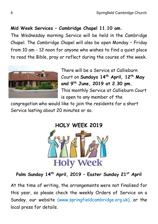#### **Mid Week Services – Cambridge Chapel 11.10 am.**

The Wednesday morning Service will be held in the Cambridge Chapel. The Cambridge Chapel will also be open Monday – Friday from 10 am - 12 noon for anyone who wishes to find a quiet place to read the Bible, pray or reflect during the course of the week.



There will be a Service at Callieburn Court on **Sundays 14th April, 12th May and 9 th June, 2019 at 2.30 pm.**  This monthly Service at Callieburn Court is open to any member of the

congregation who would like to join the residents for a short Service lasting about 20 minutes or so.



**Palm Sunday 14th April, 2019 – Easter Sunday 21st April**

At the time of writing, the arrangements were not finalised for this year, so please check the weekly Orders of Service on a Sunday, our website (www.springfieldcambridge.org.uk), or the local press for details.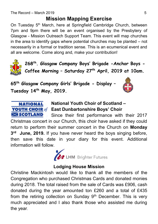#### **Mission Mapping Exercise**

On Tuesday 5<sup>th</sup> March, here at Springfield Cambridge Church, between 7pm and 9pm there will be an event organised by the Presbytery of Glasgow - Mission Outreach Support Team. This event will map churches in the area to identify gaps where potential churches may be planted – not necessarily in a formal or tradition sense. This is an ecumenical event and all are welcome. Come along and, make your contribution!



**268th. Glasgow Company Boys' Brigade -Anchor Boys - Coffee Morning – Saturday 27th April, 2019 at 10am.**

**65th Glasgow Company Girls' Brigade - Display – Tuesday 14th May, 2019.**





#### **National Youth Choir of Scotland – YOUTH CHOIR of East Dunbartonshire Boys' Choir**

Since their first performance with their 2017 Christmas concert in our Church, this choir have asked if they could return to perform their summer concert in the Church on **Monday 3 rd June, 2019.** If you have never heard the boys singing before, then save this date in your diary for this event. Additional information will follow.



#### **Lodging House Mission**

Christine Mackintosh would like to thank all the members of the Congregation who purchased Christmas Cards and donated monies during 2018. The total raised from the sale of Cards was £906, cash donated during the year amounted ton £260 and a total of £435 from the retiring collection on Sunday  $9<sup>th</sup>$  December. This is very much appreciated and I also thank those who assisted me during the year.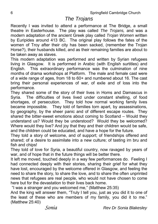#### *The Trojans*

Recently I was invited to attend a performance at The Bridge, a small theatre in Easterhouse. The play was called *The Trojans,* and was a modern adaptation of the ancient Greek play called *Trojan Women* written by Euripides around 413 BC. The original play follows the fates of the women of Troy after their city has been sacked, (remember the Trojan Horse?), their husbands killed, and as their remaining families are about to be taken away as slaves.

This modern adaptation was performed and written by Syrian refugees living in Glasgow. It is performed in Arabic (with English surtitles) and English. This extraordinary performance was the culmination of nine months of drama workshops at Platform. The male and female cast were of a wide range of ages, from 18 to 60+ and numbered about 16. The cast bring their personal experiences of war, of exile and of loss into the performance.

They shared some of the story of their lives in Homs and Damascus in Syria. The difficulties of lives lived under constant shelling, of food shortages, of persecution. They told how normal working family lives became impossible. They told of families torn apart, by assassinations, by geography, by the sheer panic and of different escape routes. They shared the bitter-sweet emotions about coming to Scotland – Would they understand us? Would they be understood? Would they be welcomed? Where would they live? And joy that they and their children would be safe, and the children could be educated, and have a hope for the future.

They told a story of welcome, and of support; of friendships offered and shared; of a desire to assimilate into a new culture; of tasting irn bru and fish and chips!

They told of love for Syria, a beautiful country, now ravaged by years of war, and of hope that in the future things will be better there.

It left me moved, touched deeply in a way few performances do. Feeling I had connected deeply with their stories, sharing their grief for what they have lost, encouraged by the welcome offered in Glasgow, and feeling the need to share the story, to share the love, and to share the often unprinted news that refugees are real people, who would not have chosen to come here but for the devastation to their lives back home.

"I was a stranger and you welcomed me," (Matthew 25:35)

And the king will answer them, "Truly I tell you, just as you did it to one of the least of these who are members of my family, you did it to me." (Matthew 25:40)

*Sonia Rev Dr Sonia Blakesley*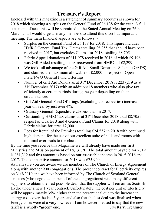#### **Treasurer's Report**

Enclosed with this magazine is a statement of summary accounts is shown for 2018 which showing a surplus on the General Fund of £6,138 for the year. A full statement of accounts will be submitted to the Stated Annual Meeting on 26th March and I would urge as many members to attend this short but important meeting. The main financial aspects are as follows: -

- Surplus on the General Fund of £6,138 for 2018. This figure includes HMRC General Fund Tax Claims totalling £5,255 that should have been received in 2017, but excludes Claims for 2018 totalling £8,705.
- Fabric Appeal donations of £11,978 received in 2018 of which £9.196 was Gift-Aided resulting in tax recovered from HMRC of £2,299.
- We took full advantage of the Gift Aid Small Donations Scheme (GADS) and claimed the maximum allowable of £2,000 in respect of Open Plate/FWO General Fund Offerings.
- Number of Gift Aid Donors as at  $31<sup>st</sup>$  December 2018 is 223 (219 as at 31<sup>st</sup> December 2017) with an additional 8 members who also give tax efficiently at certain periods during the year depending on their circumstances.
- Gift Aid General Fund Offerings (excluding tax recoveries) increased year on year by just over 4%.
- Ordinary General Expenditure 2% less than in 2017.
- Outstanding HMRC tax claims as at 31st December 2018 total £8,705 in respect of Quarter 3 and 4 General Fund Claims for 2018 along with Fabric claims for circa £2,000.
- Fees for Rental of the Premises totalling £24,537 in 2018 with continued high demand for the use of our excellent suite of halls and rooms with minimal overheads to the church.

By the time you receive this Magazine we will already have made our first Ministries and Mission payment of £8,131.20. The total amount payable for 2019 is £81,312 and this amount is based on our assessable income in 2015,2016 and 2017. The comparative amount for 2018 was £75,940.

As I am sure you are aware we are members of The Church of Energy Agreement along with another 900 congregations. The present contract for Electricity expires on 31/3/2019 and we have been informed by The Church of Scotland General Trustees (who negotiate on behalf of the congregations) with many different suppliers to obtain the best possible deal, that the supplier will remain as Scottish Hydro under a new 1 year contract. Unfortunately, the cost per unit of Electricity will be approximately 35% higher than the present deal due to the increase in energy costs over the last 3 years and also that the last deal was finalised when Energy costs were at a very low level. I am however pleased to say that the new tariff is a wholly "green" one. *Jim Kerr,* Treasurer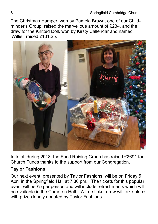The Christmas Hamper, won by Pamela Brown, one of our Childminder's Group, raised the marvellous amount of £234, and the draw for the Knitted Doll, won by Kirsty Callendar and named 'Willie', raised £101.25.



In total, during 2018, the Fund Raising Group has raised £2691 for Church Funds thanks to the support from our Congregation.

#### **Taylor Fashions**

Our next event, presented by Taylor Fashions, will be on Friday 5 April in the Springfield Hall at 7.30 pm. The tickets for this popular event will be £5 per person and will include refreshments which will be available in the Cameron Hall. A free ticket draw will take place with prizes kindly donated by Taylor Fashions.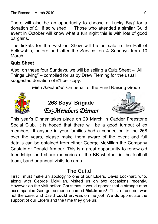There will also be an opportunity to choose a 'Lucky Bag' for a donation of £1 if so wished Those who attended a similar Guild Those who attended a similar Guild event in October will know what a fun night this is with lots of good bargains.

The tickets for the Fashion Show will be on sale in the Hall of Fellowship, before and after the Service, on 4 Sundays from 10 March.

#### **Quiz Sheet**

Also, on these four Sundays, we will be selling a Quiz Sheet – "All Things Living" – compiled for us by Drew Fleming for the usual suggested donation of £1 per copy.

*Ellen Alexander,* On behalf of the Fund Raising Group



### **268 Boys' Brigade** *Ex-Members Dinner*



This year's Dinner takes place on 29 March in Cadder Freestone Social Club. It is hoped that there will be a good turnout of ex members. If anyone in your families had a connection to the 268 over the years, please make them aware of the event and full details can be obtained from either George McMillan the Company Captain or Donald Armour. This is a great opportunity to renew old friendships and share memories of the BB whether in the football team, band or annual visits to camp.

#### **The Guild**

First I must make an apology to one of our Elders, David Lockhart, who, along with George McMillan, visited us on two occasions recently. However on the visit before Christmas it would appear that a strange man accompanied George, someone named **McLintock**! This, of course, was not the case, and David **Lockhart was** on the job! We **do** appreciate the support of our Elders and the time they give us.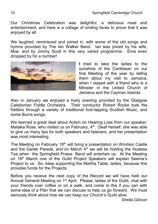Our Christmas Celebration was delightful, a delicious meal and entertainment, and here is a collage of smiling faces to prove that it was enjoyed by all.

We laughed, reminisced and joined in, with some of the old songs and hymns provided by The Ian Walker Band. Ian was joined by his wife, Moe, and by Jimmy Scott in this very varied programme. Elvis even dropped by for a number!



**I** tried to take the ladies to the sunshine of the Caribbean on our first Meeting of the year by telling them about my visit to Jamaica, when I stayed with a friend who is a Minister in the United Church of Jamaica and the Cayman Islands.

Also in January we enjoyed a lively evening provided by the Glasgow Caledonian Fiddle Orchestra. Their conductor Robert Rocke took the fiddlers through a variety of traditional foot-tapping Scottish Music, and some Burns songs.

We learned a great deal about Action on Hearing Loss from our speaker, Malaika Rose, who visited us on February, 4<sup>th</sup>. Deaf herself, she was able to give us many tips for both speakers and listeners, and her presentation was most interesting.

The Meeting on February 18<sup>th</sup> will bring a presentation on Windsor Castle and the Garter Parade, and on March  $4<sup>th</sup>$  we will be holding the Hostess Tea when the Springfield Praise Band will entertain us. At the Meeting on 18<sup>th</sup> March one of the Guild Project Speakers will explain Seema's Project to us. So, keep supporting the Martha Table, ladies, because this provides funds for the Projects.

Before you receive the next copy of the Record we will have held our Annual General Meeting on 1<sup>st</sup> April. Please, ladies of the Guild, chat with your friends over coffee or on a walk, and come to the if you can with some idea of a Plan that we can discuss to help us go forward. We must seriously think about how we can keep our Church's Guild alive.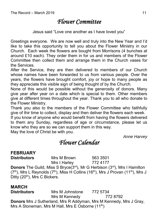#### *Flower Committee*

Jesus said "Love one another as I have loved you"

Greetings everyone. We are now well and truly into the New Year and I'd like to take this opportunity to tell you about the Flower Ministry in our Church. Each week the flowers are bought from Morrisons (4 bunches at around £10 each). They order them in for us and members of the Flower Committee then collect them and arrange them in the Church vases for the Services.

After the Service, they are then delivered to members of our Church whose names have been forwarded to us from various people. Over the years, the flowers have brought comfort, joy or hope to many people as they appreciate this visible sign of being thought of by the Church.

None of this would be possible without the generosity of donors. Many give year after year on a date which is special to them. Other members give at different times throughout the year. Thank you to all who donate to the Flower Ministry.

Thank you also to the members of the Flower Committee who faithfully give of thir time to collect, display and then deliver the flowers each week. If you know of anyone who would benefit from having the flowers delivered to them any Sunday, regardless of age or circumstance, please let us know who they are so we can support them in this way.

May the love of Christ be with you.

*Anne Harvey*

### *Flower Calendar*

# **FEBRUARY**

**Distributors** Mrs M Brown 563 3501 Mrs I Harley 772 4177

**Donors** The Guild, Miss S Bryce(3rd), Mr G Herbison (3rd), Mrs I Hamilton  $(7<sup>th</sup>)$ , Mrs L Reynolds  $(7<sup>th</sup>)$ , Miss H Collins  $(16<sup>th</sup>)$ , Mrs J Provan  $(11<sup>th</sup>)$ , Mrs J Ditty (20<sup>th</sup>), Mrs C Bickers.

# **MARCH**

**Distributors** Mrs M Johnstone 772 5734 Mrs M Kennedy 772 8792 **Donors** Mrs J Sutherland, Mrs R Addyman, Mrs M Kennedy, Mrs J Gray, Mrs A Stoneman, Mrs M Hall, Mrs E Osborne (11<sup>th</sup>)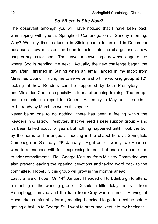#### *So Where is She Now?*

The observant amongst you will have noticed that I have been back worshipping with you at Springfield Cambridge on a Sunday morning. Why? Well my time as locum in Stirling came to an end in December because a new minister has been inducted into the charge and a new chapter begins for them. That leaves me awaiting a new challenge to see where God is sending me next. Actually, the new challenge began the day after I finished in Stirling when an email landed in my inbox from Ministries Council inviting me to serve on a short life working group at 121 looking at how Readers can be supported by both Presbytery and Ministries Council especially in terms of ongoing training. The group has to complete a report for General Assembly in May and it needs to be ready by March so watch this space.

Never being one to do nothing, there has been a feeling within the Readers in Glasgow Presbytery that we need a peer support group – and it's been talked about for years but nothing happened until I took the bull by the horns and arranged a meeting in the chapel here at Springfield Cambridge on Saturday 26<sup>th</sup> January. Eight out of twenty two Readers were in attendance with four expressing interest but unable to come due to prior commitments. Rev George Mackay, from Ministry Committee was also present leading the opening devotions and taking word back to the committee. Hopefully this group will grow in the months ahead.

Lastly a tale of hope. On  $14<sup>th</sup>$  January I headed off to Edinburgh to attend a meeting of the working group. Despite a little delay the train from Bishopbriggs arrived and the train from Croy was on time. Arriving at Haymarket comfortably for my meeting I decided to go for a coffee before getting a taxi up to George St. I went to order and went into my briefcase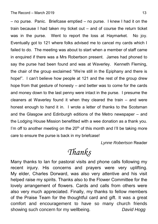#### The Record – March 2019  $\sqrt{13}$

– no purse. Panic. Briefcase emptied – no purse. I knew I had it on the train because I had taken my ticket out – and of course the return ticket was in the purse. Went to report the loss at Haymarket. No joy. Eventually got to 121 where folks advised me to cancel my cards which I failed to do. The meeting was about to start when a member of staff came in enquired if there was a Mrs Robertson present. James had phoned to say the purse had been found and was at Waverley. Kenneth Fleming, the chair of the group exclaimed "We're still in the Epiphany and there is hope!". I can't believe how people at 121 and the rest of the group drew hope from that gesture of honesty – and better was to come for the cards and money down to the last penny were intact in the purse. I presume the cleaners at Waverley found it when they cleared the train – and were honest enough to hand it in. I wrote a letter of thanks to the Scotsman and the Glasgow and Edinburgh editions of the Metro newspaper – and the Lodging House Mission benefitted with a wee donation as a thank you. I'm off to another meeting on the  $20<sup>th</sup>$  of this month and I'll be taking more care to ensure the purse is back in my briefcase!

*Lynne Robertson* Reader

# *Thanks*

Many thanks to Ian for pastoral visits and phone calls following my recent injury. His concerns and prayers were very uplifting. My elder, Charles Dorward, was also very attentive and his visit helped raise my spirits. Thanks also to the Flower Committee for the lovely arrangement of flowers. Cards and calls from others were also very much appreciated. Finally, my thanks to fellow members of the Praise Team for the thoughtful card and gift. It was a great comfort and encouragement to have so many church friends showing such concern for my wellbeing. *David Hogg*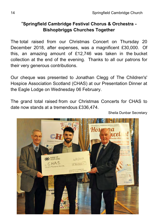#### "**Springfield Cambridge Festival Chorus & Orchestra - Bishopbriggs Churches Together**

The total raised from our Christmas Concert on Thursday 20 December 2018, after expenses, was a magnificent £30,000. Of this, an amazing amount of £12,746 was taken in the bucket collection at the end of the evening. Thanks to all our patrons for their very generous contributions.

Our cheque was presented to Jonathan Clegg of The Children's' Hospice Association Scotland (CHAS) at our Presentation Dinner at the Eagle Lodge on Wednesday 06 February.

The grand total raised from our Christmas Concerts for CHAS to date now stands at a tremendous £336,474.



Sheila Dunbar Secretary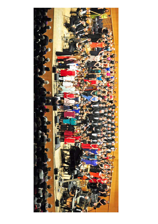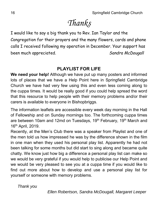# *Thanks*

I would like to say a big thank you to Rev. Ian Taylor and the Congregation for their prayers and the many flowers, cards and phone calls I received following my operation in December. Your support has been much appreciated. *Sandra McDougall*

#### **PLAYLIST FOR LIFE**

**We need your help!** Although we have put up many posters and informed lots of places that we have a Help Point here in Springfield Cambridge Church we have had very few using this and even less coming along to the cuppa times. It would be really good if you could help spread the word that this resource to help people with their memory problems and/or their carers is available to everyone in Bishopbriggs.

The information leaflets are accessible every week day morning in the Hall of Fellowship and on Sunday mornings too. The forthcoming cuppa times are between 10am and 12md on Tuesdays, 19<sup>th</sup> February, 19<sup>th</sup> March and 16th April, 2019.

Recently, at the Men's Club there was a speaker from Playlist and one of the men told us how impressed he was by the difference shown in the film in one man when they used his personal play list. Apparently he had not been talking for some months but did start to sing along and became quite chatty. We know just how big a difference a personal play list can make so we would be very grateful if you would help to publicise our Help Point and we would be very pleased to see you at a cuppa time if you would like to find out more about how to develop and use a personal play list for yourself or someone with memory problems.

*Thank you*

*Ellen Robertson, Sandra McDougall, Margaret Leeper*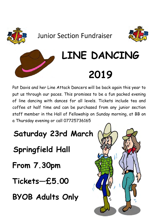

**Junior Section Fundraiser** 





# **LINE DANCING 2019**

Pat Davis and her Line Attack Dancers will be back again this year to put us through our paces. This promises to be a fun packed evening of line dancing with dances for all levels. Tickets include tea and coffee at half time and can be purchased from any junior section staff member in the Hall of Fellowship on Sunday morning, at BB on a Thursday evening or call 07725736165

# **Saturday 23rd March**

**Springfield Hall**

**From 7.30pm**

**Tickets—£5.00** 

**BYOB Adults Only**